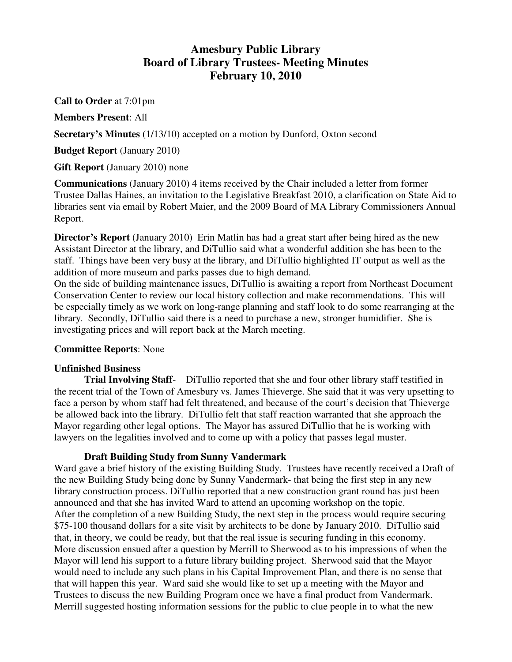# **Amesbury Public Library Board of Library Trustees- Meeting Minutes February 10, 2010**

**Call to Order** at 7:01pm

**Members Present**: All

**Secretary's Minutes** (1/13/10) accepted on a motion by Dunford, Oxton second

**Budget Report** (January 2010)

**Gift Report** (January 2010) none

**Communications** (January 2010) 4 items received by the Chair included a letter from former Trustee Dallas Haines, an invitation to the Legislative Breakfast 2010, a clarification on State Aid to libraries sent via email by Robert Maier, and the 2009 Board of MA Library Commissioners Annual Report.

**Director's Report** (January 2010) Erin Matlin has had a great start after being hired as the new Assistant Director at the library, and DiTullio said what a wonderful addition she has been to the staff. Things have been very busy at the library, and DiTullio highlighted IT output as well as the addition of more museum and parks passes due to high demand.

On the side of building maintenance issues, DiTullio is awaiting a report from Northeast Document Conservation Center to review our local history collection and make recommendations. This will be especially timely as we work on long-range planning and staff look to do some rearranging at the library. Secondly, DiTullio said there is a need to purchase a new, stronger humidifier. She is investigating prices and will report back at the March meeting.

## **Committee Reports**: None

## **Unfinished Business**

**Trial Involving Staff**- DiTullio reported that she and four other library staff testified in the recent trial of the Town of Amesbury vs. James Thieverge. She said that it was very upsetting to face a person by whom staff had felt threatened, and because of the court's decision that Thieverge be allowed back into the library. DiTullio felt that staff reaction warranted that she approach the Mayor regarding other legal options. The Mayor has assured DiTullio that he is working with lawyers on the legalities involved and to come up with a policy that passes legal muster.

## **Draft Building Study from Sunny Vandermark**

Ward gave a brief history of the existing Building Study. Trustees have recently received a Draft of the new Building Study being done by Sunny Vandermark- that being the first step in any new library construction process. DiTullio reported that a new construction grant round has just been announced and that she has invited Ward to attend an upcoming workshop on the topic. After the completion of a new Building Study, the next step in the process would require securing \$75-100 thousand dollars for a site visit by architects to be done by January 2010. DiTullio said that, in theory, we could be ready, but that the real issue is securing funding in this economy. More discussion ensued after a question by Merrill to Sherwood as to his impressions of when the Mayor will lend his support to a future library building project. Sherwood said that the Mayor would need to include any such plans in his Capital Improvement Plan, and there is no sense that that will happen this year. Ward said she would like to set up a meeting with the Mayor and Trustees to discuss the new Building Program once we have a final product from Vandermark. Merrill suggested hosting information sessions for the public to clue people in to what the new